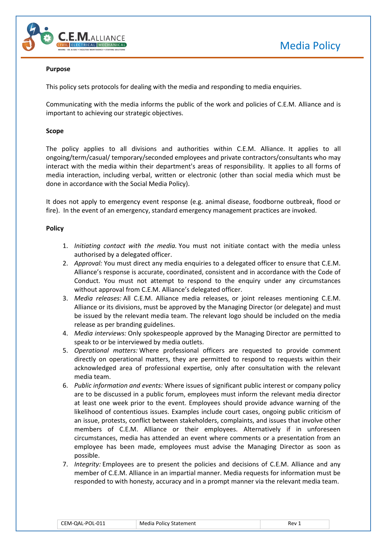



### **Purpose**

This policy sets protocols for dealing with the media and responding to media enquiries.

Communicating with the media informs the public of the work and policies of C.E.M. Alliance and is important to achieving our strategic objectives.

### **Scope**

The policy applies to all divisions and authorities within C.E.M. Alliance. It applies to all ongoing/term/casual/ temporary/seconded employees and private contractors/consultants who may interact with the media within their department's areas of responsibility. It applies to all forms of media interaction, including verbal, written or electronic (other than social media which must be done in accordance with the Social Media Policy).

It does not apply to emergency event response (e.g. animal disease, foodborne outbreak, flood or fire). In the event of an emergency, standard emergency management practices are invoked.

### **Policy**

- 1. *Initiating contact with the media.* You must not initiate contact with the media unless authorised by a delegated officer.
- 2. *Approval:* You must direct any media enquiries to a delegated officer to ensure that C.E.M. Alliance's response is accurate, coordinated, consistent and in accordance with the Code of Conduct. You must not attempt to respond to the enquiry under any circumstances without approval from C.E.M. Alliance's delegated officer.
- 3. *Media releases:* All C.E.M. Alliance media releases, or joint releases mentioning C.E.M. Alliance or its divisions, must be approved by the Managing Director (or delegate) and must be issued by the relevant media team. The relevant logo should be included on the media release as per branding guidelines.
- 4. *Media interviews:* Only spokespeople approved by the Managing Director are permitted to speak to or be interviewed by media outlets.
- 5. *Operational matters:* Where professional officers are requested to provide comment directly on operational matters, they are permitted to respond to requests within their acknowledged area of professional expertise, only after consultation with the relevant media team.
- 6. *Public information and events:* Where issues of significant public interest or company policy are to be discussed in a public forum, employees must inform the relevant media director at least one week prior to the event. Employees should provide advance warning of the likelihood of contentious issues. Examples include court cases, ongoing public criticism of an issue, protests, conflict between stakeholders, complaints, and issues that involve other members of C.E.M. Alliance or their employees. Alternatively if in unforeseen circumstances, media has attended an event where comments or a presentation from an employee has been made, employees must advise the Managing Director as soon as possible.
- 7. *Integrity:* Employees are to present the policies and decisions of C.E.M. Alliance and any member of C.E.M. Alliance in an impartial manner. Media requests for information must be responded to with honesty, accuracy and in a prompt manner via the relevant media team.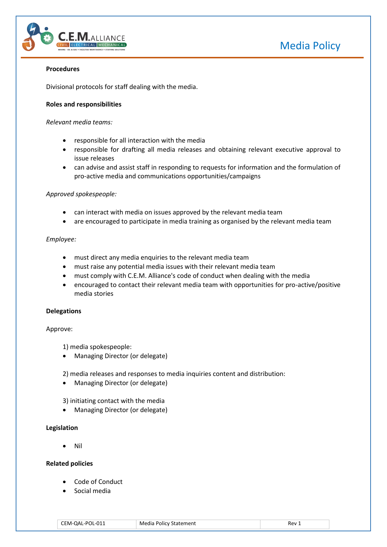

# Media Policy

# **Procedures**

Divisional protocols for staff dealing with the media.

## **Roles and responsibilities**

### *Relevant media teams:*

- responsible for all interaction with the media
- responsible for drafting all media releases and obtaining relevant executive approval to issue releases
- can advise and assist staff in responding to requests for information and the formulation of pro-active media and communications opportunities/campaigns

### *Approved spokespeople:*

- can interact with media on issues approved by the relevant media team
- are encouraged to participate in media training as organised by the relevant media team

### *Employee:*

- must direct any media enquiries to the relevant media team
- must raise any potential media issues with their relevant media team
- must comply with C.E.M. Alliance's code of conduct when dealing with the media
- encouraged to contact their relevant media team with opportunities for pro-active/positive media stories

#### **Delegations**

#### Approve:

1) media spokespeople:

Managing Director (or delegate)

2) media releases and responses to media inquiries content and distribution:

Managing Director (or delegate)

3) initiating contact with the media

• Managing Director (or delegate)

#### **Legislation**

Nil

## **Related policies**

- Code of Conduct
- Social media